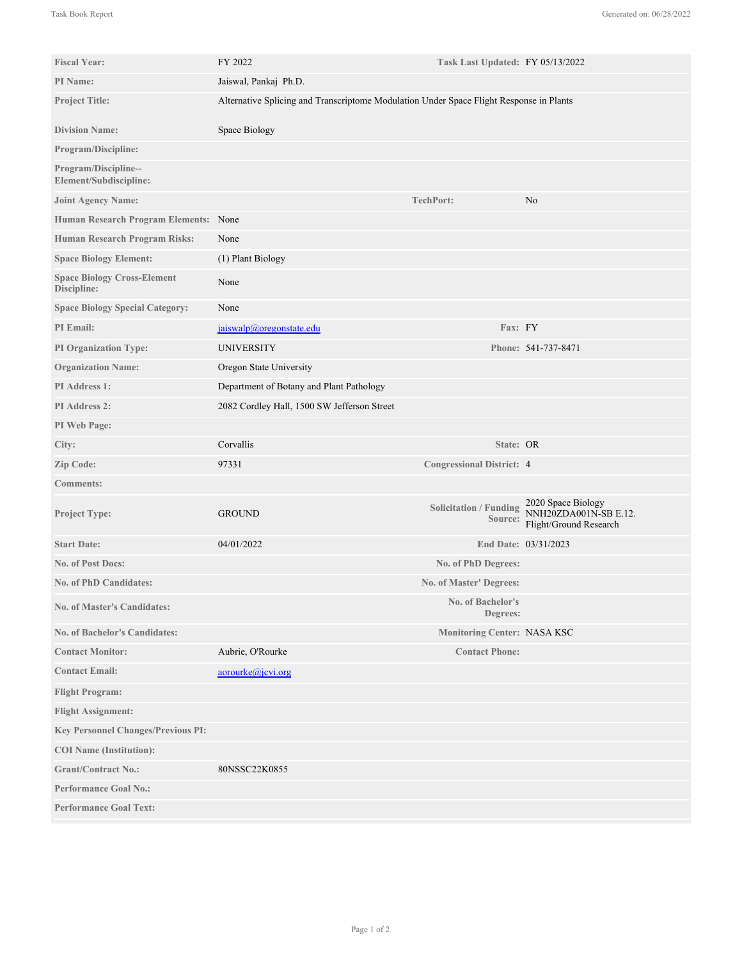| <b>Fiscal Year:</b>                               | FY 2022                                                                                 | Task Last Updated: FY 05/13/2022         |                                                                       |
|---------------------------------------------------|-----------------------------------------------------------------------------------------|------------------------------------------|-----------------------------------------------------------------------|
| PI Name:                                          | Jaiswal, Pankaj Ph.D.                                                                   |                                          |                                                                       |
| <b>Project Title:</b>                             | Alternative Splicing and Transcriptome Modulation Under Space Flight Response in Plants |                                          |                                                                       |
| <b>Division Name:</b>                             | Space Biology                                                                           |                                          |                                                                       |
| Program/Discipline:                               |                                                                                         |                                          |                                                                       |
| Program/Discipline--<br>Element/Subdiscipline:    |                                                                                         |                                          |                                                                       |
| <b>Joint Agency Name:</b>                         |                                                                                         | TechPort:                                | No                                                                    |
| Human Research Program Elements: None             |                                                                                         |                                          |                                                                       |
| Human Research Program Risks:                     | None                                                                                    |                                          |                                                                       |
| <b>Space Biology Element:</b>                     | (1) Plant Biology                                                                       |                                          |                                                                       |
| <b>Space Biology Cross-Element</b><br>Discipline: | None                                                                                    |                                          |                                                                       |
| <b>Space Biology Special Category:</b>            | None                                                                                    |                                          |                                                                       |
| <b>PI</b> Email:                                  | jaiswalp@oregonstate.edu                                                                | Fax: FY                                  |                                                                       |
| <b>PI Organization Type:</b>                      | <b>UNIVERSITY</b>                                                                       |                                          | Phone: 541-737-8471                                                   |
| <b>Organization Name:</b>                         | Oregon State University                                                                 |                                          |                                                                       |
| PI Address 1:                                     | Department of Botany and Plant Pathology                                                |                                          |                                                                       |
| PI Address 2:                                     | 2082 Cordley Hall, 1500 SW Jefferson Street                                             |                                          |                                                                       |
| PI Web Page:                                      |                                                                                         |                                          |                                                                       |
| City:                                             | Corvallis                                                                               | State: OR                                |                                                                       |
| Zip Code:                                         | 97331                                                                                   | <b>Congressional District: 4</b>         |                                                                       |
| <b>Comments:</b>                                  |                                                                                         |                                          |                                                                       |
| Project Type:                                     | <b>GROUND</b>                                                                           | <b>Solicitation / Funding</b><br>Source: | 2020 Space Biology<br>NNH20ZDA001N-SB E.12.<br>Flight/Ground Research |
| <b>Start Date:</b>                                | 04/01/2022                                                                              |                                          | End Date: 03/31/2023                                                  |
| <b>No. of Post Docs:</b>                          |                                                                                         | No. of PhD Degrees:                      |                                                                       |
| <b>No. of PhD Candidates:</b>                     |                                                                                         | <b>No. of Master' Degrees:</b>           |                                                                       |
| <b>No. of Master's Candidates:</b>                |                                                                                         | No. of Bachelor's<br>Degrees:            |                                                                       |
| <b>No. of Bachelor's Candidates:</b>              |                                                                                         | <b>Monitoring Center: NASA KSC</b>       |                                                                       |
| <b>Contact Monitor:</b>                           | Aubrie, O'Rourke                                                                        | <b>Contact Phone:</b>                    |                                                                       |
| <b>Contact Email:</b>                             | aorourke@jevi.org                                                                       |                                          |                                                                       |
| <b>Flight Program:</b>                            |                                                                                         |                                          |                                                                       |
| <b>Flight Assignment:</b>                         |                                                                                         |                                          |                                                                       |
| <b>Key Personnel Changes/Previous PI:</b>         |                                                                                         |                                          |                                                                       |
| <b>COI</b> Name (Institution):                    |                                                                                         |                                          |                                                                       |
| <b>Grant/Contract No.:</b>                        | 80NSSC22K0855                                                                           |                                          |                                                                       |
| <b>Performance Goal No.:</b>                      |                                                                                         |                                          |                                                                       |
| <b>Performance Goal Text:</b>                     |                                                                                         |                                          |                                                                       |
|                                                   |                                                                                         |                                          |                                                                       |